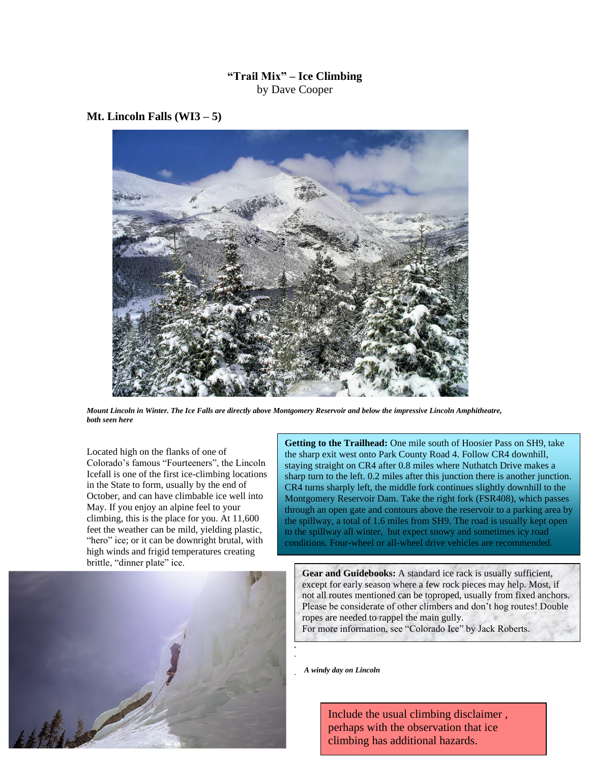## **"Trail Mix" – Ice Climbing** by Dave Cooper

## **Mt. Lincoln Falls (WI3 – 5)**



*Mount Lincoln in Winter. The Ice Falls are directly above Montgomery Reservoir and below the impressive Lincoln Amphitheatre, both seen here*

Located high on the flanks of one of Colorado's famous "Fourteeners", the Lincoln Icefall is one of the first ice-climbing locations in the State to form, usually by the end of October, and can have climbable ice well into May. If you enjoy an alpine feel to your climbing, this is the place for you. At 11,600 feet the weather can be mild, yielding plastic, "hero" ice; or it can be downright brutal, with high winds and frigid temperatures creating brittle, "dinner plate" ice.

**Getting to the Trailhead:** One mile south of Hoosier Pass on SH9, take the sharp exit west onto Park County Road 4. Follow CR4 downhill, staying straight on CR4 after 0.8 miles where Nuthatch Drive makes a sharp turn to the left. 0.2 miles after this junction there is another junction. CR4 turns sharply left, the middle fork continues slightly downhill to the Montgomery Reservoir Dam. Take the right fork (FSR408), which passes through an open gate and contours above the reservoir to a parking area by the spillway, a total of 1.6 miles from SH9. The road is usually kept open to the spillway all winter, but expect snowy and sometimes icy road conditions. Four-wheel or all-wheel drive vehicles are recommended.

**Gear and Guidebooks:** A standard ice rack is usually sufficient, except for early season where a few rock pieces may help. Most, if not all routes mentioned can be toproped, usually from fixed anchors. Please be considerate of other climbers and don't hog routes! Double ropes are needed to rappel the main gully. For more information, see "Colorado Ice" by Jack Roberts.

*A windy day on Lincoln*

Include the usual climbing disclaimer , perhaps with the observation that ice climbing has additional hazards.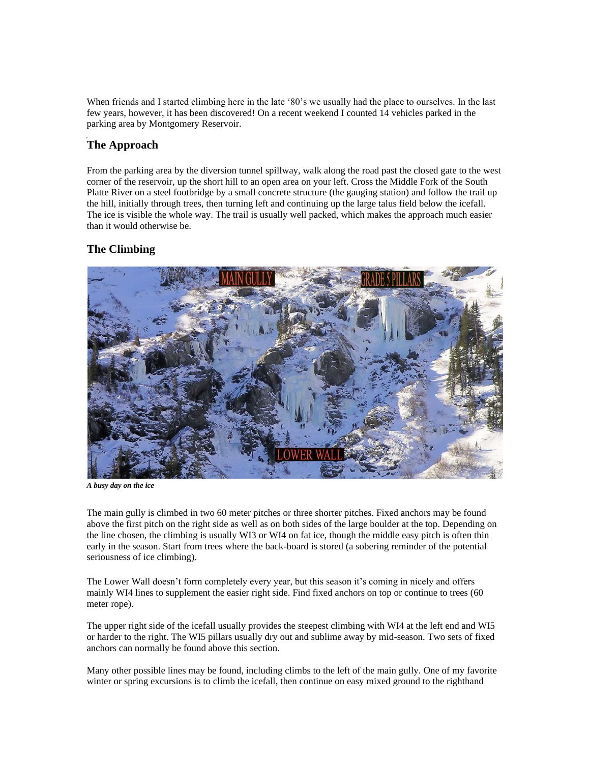When friends and I started climbing here in the late '80's we usually had the place to ourselves. In the last few years, however, it has been discovered! On a recent weekend I counted 14 vehicles parked in the parking area by Montgomery Reservoir.

## **The Approach**

From the parking area by the diversion tunnel spillway, walk along the road past the closed gate to the west corner of the reservoir, up the short hill to an open area on your left. Cross the Middle Fork of the South Platte River on a steel footbridge by a small concrete structure (the gauging station) and follow the trail up the hill, initially through trees, then turning left and continuing up the large talus field below the icefall. The ice is visible the whole way. The trail is usually well packed, which makes the approach much easier than it would otherwise be.

## **The Climbing**



*A busy day on the ice*

The main gully is climbed in two 60 meter pitches or three shorter pitches. Fixed anchors may be found above the first pitch on the right side as well as on both sides of the large boulder at the top. Depending on the line chosen, the climbing is usually WI3 or WI4 on fat ice, though the middle easy pitch is often thin early in the season. Start from trees where the back-board is stored (a sobering reminder of the potential seriousness of ice climbing).

The Lower Wall doesn't form completely every year, but this season it's coming in nicely and offers mainly WI4 lines to supplement the easier right side. Find fixed anchors on top or continue to trees (60 meter rope).

The upper right side of the icefall usually provides the steepest climbing with WI4 at the left end and WI5 or harder to the right. The WI5 pillars usually dry out and sublime away by mid-season. Two sets of fixed anchors can normally be found above this section.

Many other possible lines may be found, including climbs to the left of the main gully. One of my favorite winter or spring excursions is to climb the icefall, then continue on easy mixed ground to the righthand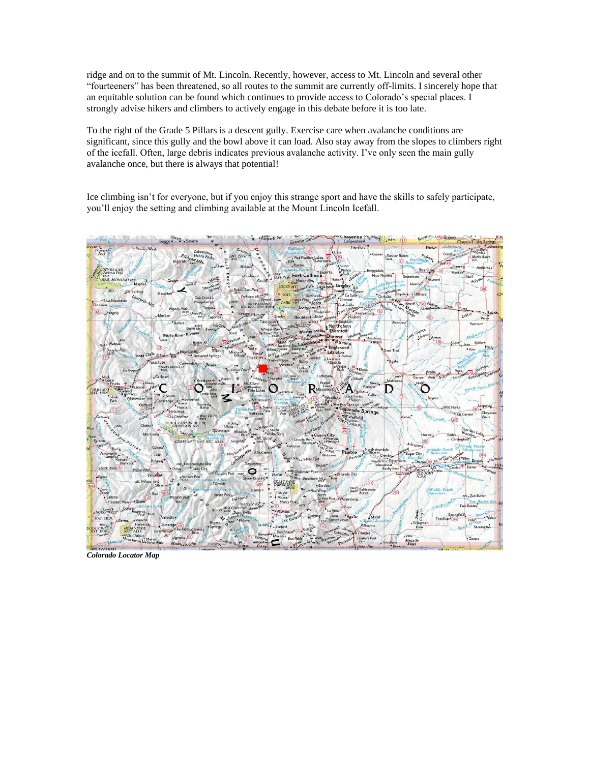ridge and on to the summit of Mt. Lincoln. Recently, however, access to Mt. Lincoln and several other "fourteeners" has been threatened, so all routes to the summit are currently off-limits. I sincerely hope that an equitable solution can be found which continues to provide access to Colorado's special places. I strongly advise hikers and climbers to actively engage in this debate before it is too late.

To the right of the Grade 5 Pillars is a descent gully. Exercise care when avalanche conditions are significant, since this gully and the bowl above it can load. Also stay away from the slopes to climbers right of the icefall. Often, large debris indicates previous avalanche activity. I've only seen the main gully avalanche once, but there is always that potential!

Ice climbing isn't for everyone, but if you enjoy this strange sport and have the skills to safely participate, you'll enjoy the setting and climbing available at the Mount Lincoln Icefall.



*Colorado Locator Map*